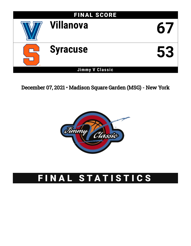

December 07, 2021 • Madison Square Garden (MSG) - New York



# FINAL STATISTICS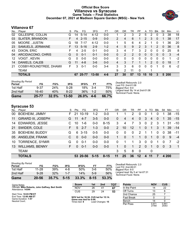#### **Official Box Score Villanova vs Syracuse Game Totals -- Final Statistics December 07, 2021 at Madison Square Garden (MSG) - New York**



## **Villanova 67**

| No.             | Player                  | S  | Pts            | FG       | 3FG      | FT      | OR             | DR | TR | PF             | A        | TO | <b>B</b> lk   | Stl      | Min   | $+/-$          |
|-----------------|-------------------------|----|----------------|----------|----------|---------|----------------|----|----|----------------|----------|----|---------------|----------|-------|----------------|
| 02              | GILLESPIE, COLLIN       | G  | 14             | $5 - 14$ | $4 - 12$ | $0 - 0$ |                | 2  | 3  | $\overline{2}$ | 5        | 2  | 0             | 3        | 38    | 18             |
| 03              | <b>SLATER, BRANDON</b>  | F. | $\overline{4}$ | $2 - 15$ | $0 - 9$  | $0 - 0$ | $\overline{2}$ | 4  | 6  |                | 2        | 3  | $\mathbf{0}$  |          | 38    | 17             |
| 05              | MOORE, JUSTIN           | G  | 18             | $7 - 17$ | $4 - 12$ | $0 - 0$ | 1              | 5  | 6  | 4              | 2        |    | 0             |          | 36    | 20             |
| 23              | SAMUELS, JERMAINE       | F. | 13             | $5 - 16$ | $2 - 9$  | $1 - 2$ | 4              | 5  | 9  | $\mathcal{P}$  | 3        | 1  | $\mathcal{P}$ | $\Omega$ | 36    | 8              |
| 43              | DIXON, ERIC             |    | 4              | $2 - 5$  | $0 - 1$  | $0 - 0$ | 3              | 4  |    | 3              | 2        | 0  | $\Omega$      | 0        | 25    | 8              |
| 04              | ARCIDIACONO, CHRIS      | G  | $\Omega$       | $0 - 1$  | $0 - 1$  | $0 - 0$ | 0              | 2  | 2  | 0              | 0        | 0  | $\mathbf{0}$  | $\Omega$ | 3     | $-4$           |
| 12 <sup>°</sup> | VOIGT, KEVIN            | G  | 0              | $0 - 0$  | $0 - 0$  | $0 - 0$ | 0              | 0  | 0  | 0              | $\Omega$ | 0  | 0             | 0        |       | $-2$           |
| 14              | DANIELS, CALEB          | G  | 11             | $4 - 8$  | $3-6$    | $0 - 0$ | 4              | 3  |    |                |          | 2  | $\Omega$      | 0        | 18    | $\overline{7}$ |
| 21              | COSBY-ROUNDTREE, DHAMII | F. | 3              | $0 - 1$  | $0 - 0$  | $3 - 4$ | 3              | 3  | 6  | 0              | $\Omega$ | 0  |               | 0        | 6     | $-2$           |
|                 | TEAM                    |    |                |          |          |         | 9              | 2  | 11 | $\Omega$       |          |    |               |          |       |                |
|                 | <b>TOTALS</b>           |    | 67             | 25-77    | 13-50    | $4 - 6$ | 27             | 30 | 57 | 13             | 15       | 10 | 3             |          | 5 200 |                |

| <b>Shooting By Period</b><br>Period | FG       | FG%   | 3FG       | 3FG%     | FT      | FT%   |
|-------------------------------------|----------|-------|-----------|----------|---------|-------|
| 1st Half                            | $9 - 37$ | 24%   | $5-28$    | 18%      | $3-4$   | 75%   |
| 2nd Half                            | 16-40    | 40%   | $8-22$    | 36%      | $1 - 2$ | 50%   |
| Game                                | 25-77    | 32.5% | $13 - 50$ | $26.0\%$ | 4-6     | 66.7% |

*Deadball Rebounds:* 2,0 *Last FG:* 2nd-01:08 *Biggest Run:* 9-0 *Largest lead:* By 14 at 2nd-01:08 *Technical Fouls:* None.

# **Syracuse 53**

| No. | Player                    | S  | Pts      | FG.      | 3FG     | <b>FT</b> | OR             | DR.      | TR                | PF            | A            | TO             | <b>Blk</b> | Stl         | Min   | $+/-$          |
|-----|---------------------------|----|----------|----------|---------|-----------|----------------|----------|-------------------|---------------|--------------|----------------|------------|-------------|-------|----------------|
| 00  | <b>BOEHEIM, JIMMY</b>     | F. | 21       | $10-19$  | $1 - 2$ | $0 - 0$   |                |          | 2                 | 0             | 0            |                | $\Omega$   |             | 38    | $-15$          |
| 11  | <b>GIRARD III, JOSEPH</b> | G. | 11       | $4 - 7$  | $3-5$   | $0 - 0$   | $\Omega$       | 4        | 4                 | $\Omega$      | 3            | $\overline{4}$ | $\Omega$   | 1           | 35    | $-15$          |
| 14  | <b>EDWARDS, JESSE</b>     |    | 10       | $1 - 6$  | $0 - 0$ | $8 - 15$  | 3              | 4        | 7                 | 3             | 0            | 2              | 3          | 1           | 31    | $-10$          |
| 21  | SWIDER, COLE              | F. | 5        | $2 - 7$  | $1 - 3$ | $0 - 0$   | $\overline{2}$ | 10       | $12 \overline{ }$ | 1             | $\mathbf{0}$ | 1              | 3          | $\mathbf 1$ | 39    | $-14$          |
| 35  | <b>BOEHEIM, BUDDY</b>     | G  | 6        | $3 - 15$ | $0 - 5$ | $0 - 0$   | $\Omega$       | 0        | $\Omega$          | 2             | 1            | 1              | $\Omega$   | $\Omega$    | 38    | $-11$          |
| 05  | <b>ANSELEM, FRANK</b>     |    | 0        | $0 - 0$  | $0 - 0$ | $0 - 0$   | 1              | 0        |                   | 1             | $\Omega$     |                | $\Omega$   | $\Omega$    | 9     | $-4$           |
| 10  | <b>TORRENCE, SYMIR</b>    | G  | $\Omega$ | $0 - 1$  | $0-0$   | $0 - 0$   | $\Omega$       |          |                   | 3             | $\Omega$     | $\Omega$       |            | $\Omega$    | 7     | $-2$           |
| 13  | <b>WILLIAMS, BENNY</b>    | F. | $\Omega$ | $0 - 1$  | $0 - 0$ | $0 - 0$   |                | $\Omega$ | 1                 | $\mathcal{P}$ | $\Omega$     | 1              | $\Omega$   | $\Omega$    | -3    | $\overline{1}$ |
|     | <b>TEAM</b>               |    |          |          |         |           | 3              | 5        | 8                 | 0             |              | $\mathbf{0}$   |            |             |       |                |
|     | <b>TOTALS</b>             |    |          | 53 20-56 | $5-15$  | $8 - 15$  | 11             | 25       | 36                | $12 \,$       | 4            |                |            |             | 4 200 |                |

| <b>Shooting By Period</b><br>Period | FG        | FG%   | 3FG      | 3FG%  | FТ       | FT%   | De<br>La |
|-------------------------------------|-----------|-------|----------|-------|----------|-------|----------|
| 1st Half                            | $11 - 28$ | 39%   | 4-8      | 50%   | 3-6      | 50%   | Bi       |
| 2nd Half                            | $9 - 28$  | 32%   | $1 - 7$  | 14%   | $5-9$    | 56%   | La<br>Te |
| Game                                | 20-56     | 35.7% | $5 - 15$ | 33.3% | $8 - 15$ | 53.3% |          |

*Deadball Rebounds:* 2,0 *Last FG:* 2nd-06:01 *Biggest Run:* 6-0 *Largest lead:* By 5 at 1st-07:31 *Technical Fouls:* None.

| Game Notes:                                                            | <b>Score</b>                             | 1st | 2 <sub>nd</sub>  | тот | <b>Points</b>     | <b>NOV</b>     | <b>CUS</b>     |
|------------------------------------------------------------------------|------------------------------------------|-----|------------------|-----|-------------------|----------------|----------------|
| Officials: Mike Roberts, John Gaffney, Bert Smith<br>Attendance: 14344 | <b>NOV</b>                               | 26  | -41              | 67  | In the Paint      |                | 22             |
|                                                                        | CUS                                      | 29  | 24               | 53  | Off Turns         |                |                |
| Start Time: 10:03 PM ET                                                |                                          |     |                  |     | 2nd Chance        | 25             |                |
| End Time: 12:00 AM ET<br>Game Duration: 1:57                           | NOV led for 16:36. CUS led for 15:14.    |     |                  |     | <b>Fast Break</b> |                |                |
| Neutral Court:                                                         | Game was tied for 8:08.<br>Times tied: 8 |     | Lead Changes: 15 |     | Bench             | 14             |                |
|                                                                        |                                          |     |                  |     | Per Poss          | 0.97'<br>27/69 | 0.841<br>25/63 |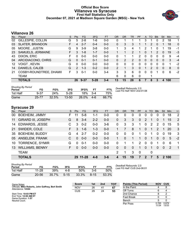#### **Official Box Score Villanova vs Syracuse First Half Statistics Only December 07, 2021 at Madison Square Garden (MSG) - New York**



# **Villanova 26**

| No. | Plaver                  | S  | <b>Pts</b>    | FG      | 3FG      | <b>FT</b> | <b>OR</b> | <b>DR</b> | TR             | PF       | A | TO | <b>Blk</b>    | Stl | Min | $+/-$        |
|-----|-------------------------|----|---------------|---------|----------|-----------|-----------|-----------|----------------|----------|---|----|---------------|-----|-----|--------------|
| 02  | GILLESPIE, COLLIN       | G  | 5             | $2 - 8$ | 1-6      | $0 - 0$   | 0         |           |                |          | 3 |    | 0             | 2   | 18  | 1            |
| 03  | <b>SLATER, BRANDON</b>  | F  | 4             | $2 - 7$ | $0 - 4$  | $0 - 0$   | $\Omega$  | 3         | 3              |          |   | 2  | $\Omega$      |     | 18  | $\mathbf{0}$ |
| 05  | MOORE, JUSTIN           | G  | 9             | $3-9$   | $3 - 8$  | $0-0$     | 1.        | 3         | 4              |          | 2 | 1  | 0             |     | 19  | $-1$         |
| 23  | SAMUELS, JERMAINE       | F  | 3             | $1 - 8$ | $1 - 7$  | $0 - 0$   |           |           | $\overline{2}$ |          | 0 |    | $\mathcal{P}$ | 0   | 19  | $-3$         |
| 43  | DIXON, ERIC             | F  | 0             | $0 - 0$ | $0 - 0$  | $0 - 0$   | 0         |           |                | 2        | 0 | 0  | 0             | 0   | 9   | -4           |
| 04  | ARCIDIACONO, CHRIS      | G  | 0             | $0 - 1$ | $0 - 1$  | $0 - 0$   | 0         | 2         | 2              | 0        | 0 | 0  | $\mathbf{0}$  | 0   | 3   | $-4$         |
| 12  | VOIGT, KEVIN            | G  | $\Omega$      | $0 - 0$ | $0 - 0$  | $0 - 0$   | 0         | 0         | 0              | 0        | 0 | 0  | 0             | 0   | 1   | -2           |
| 14  | DANIELS, CALEB          | G  | $\mathcal{P}$ | $1 - 3$ | $0 - 2$  | $0 - 0$   | 2         |           | 3              | 0        |   | 2  | 0             | 0   | 8   | $\mathbf{0}$ |
| 21  | COSBY-ROUNDTREE, DHAMII | F. | 3             | $0 - 1$ | $0 - 0$  | $3 - 4$   | 3         | 3         | 6              | $\Omega$ | 0 | 0  |               | 0   | 6   | $-2$         |
|     | TEAM                    |    |               |         |          |           | 6         | 0         | 6              | 0        |   |    |               |     |     |              |
|     | <b>TOTALS</b>           |    | 26            | 9-37    | $5 - 28$ | 3-4       | 13        | 15        | 28             | 6        |   | 8  | 3             | 4   | 100 |              |

| <b>Shooting By Period</b><br>Period | FG       | FG%   | 3FG       | 3FG%  | FТ      | FT%   | Deadball Rebounds: 2,0<br>Last FG Half: NOV 2nd-01:08 |
|-------------------------------------|----------|-------|-----------|-------|---------|-------|-------------------------------------------------------|
| 1st Half                            | $9 - 37$ | 24%   | $5 - 28$  | 18%   | $3 - 4$ | 75%   |                                                       |
| Game                                | 25-77    | 32.5% | $13 - 50$ | 26.0% | $-4-6$  | 66.7% |                                                       |

# **Syracuse 29**

| No. | Player                    | S  | Pts      | FG.      | 3FG     | <b>FT</b> | <b>OR</b>    | <b>DR</b> | TR           | <b>PF</b>    | A            | TO.           | <b>B</b> lk | Stl      | Min   | $+/-$          |
|-----|---------------------------|----|----------|----------|---------|-----------|--------------|-----------|--------------|--------------|--------------|---------------|-------------|----------|-------|----------------|
| 00  | <b>BOEHEIM, JIMMY</b>     | F. | 11       | $5-8$    | 1-1     | $0 - 0$   | 0            | 0         | 0            | 0            | 0            | 0             | $\Omega$    | 0        | 18    | $\overline{2}$ |
| 11  | <b>GIRARD III, JOSEPH</b> | G  | 8        | $3 - 4$  | $2 - 2$ | $0 - 0$   | $\mathbf{0}$ | 3         | 3            | $\mathbf{0}$ | 2            |               | $\Omega$    | 1        | 15    | 2              |
| 14  | <b>EDWARDS, JESSE</b>     | C  | 3        | $0 - 2$  | $0-0$   | $3-6$     | 0            | 3         | 3            | 1.           | $\mathbf{0}$ | $\mathcal{P}$ | 2           | $\Omega$ | 15    | 5              |
| 21  | SWIDER, COLE              | F. | 3        | $1 - 6$  | $1 - 3$ | $0 - 0$   |              |           | 8            | 1            | $\Omega$     | 1             | 2           | 1        | 20    | 3              |
| 35  | <b>BOEHEIM, BUDDY</b>     | G  | 4        | $2 - 7$  | $0 - 2$ | $0 - 0$   | $\Omega$     | 0         | $\Omega$     | 1            | $\Omega$     |               | $\Omega$    | $\Omega$ | 19    | 3              |
| 05  | <b>ANSELEM, FRANK</b>     | C  | $\Omega$ | $0 - 0$  | $0 - 0$ | $0 - 0$   |              | $\Omega$  |              | 1            | $\Omega$     | 1             | $\Omega$    | $\Omega$ | 5     | $-2$           |
| 10  | <b>TORRENCE, SYMIR</b>    | G  | $\Omega$ | $0 - 1$  | $0-0$   | $0 - 0$   | $\Omega$     |           |              | 2            | $\Omega$     | $\Omega$      |             | $\Omega$ | 6     | -1             |
| 13  | <b>WILLIAMS, BENNY</b>    | F. | $\Omega$ | $0 - 0$  | $0 - 0$ | $0 - 0$   | $\Omega$     | 0         | $\mathbf{0}$ | 1            | $\Omega$     | 1             | $\Omega$    | $\Omega$ | 2     | $\overline{1}$ |
|     | <b>TEAM</b>               |    |          |          |         |           | 2            | 1         | 3            | 0            |              | 0             |             |          |       |                |
|     | <b>TOTALS</b>             |    |          | 29 11-28 | $4 - 8$ | $3 - 6$   | 4            | 15        | 19           | 7            | $\mathbf{P}$ | 7             | 5           |          | 2 100 |                |

| <b>Shooting By Period</b><br>Period | FG        | FG%   | 3FG      | 3FG%  |          | FT%   |
|-------------------------------------|-----------|-------|----------|-------|----------|-------|
| 1st Half                            | $11 - 28$ | 39%   | 4-8      | 50%   | 3-6      | 50%   |
| Game                                | $20 - 56$ | 35.7% | $5 - 15$ | 33.3% | $8 - 15$ | 53.3% |

*Deadball Rebounds:* 2,0 *Last FG Half:* CUS 2nd-06:01

| Game Notes:                                                            | <b>Score</b> | 1st | 2 <sub>nd</sub> | <b>TOT</b> | <b>Points (This Period)</b> | <b>NOV</b>     | <b>CUS</b>     |
|------------------------------------------------------------------------|--------------|-----|-----------------|------------|-----------------------------|----------------|----------------|
| Officials: Mike Roberts, John Gaffney, Bert Smith<br>Attendance: 14344 | <b>NOV</b>   | 26  | 41              | 67         | In the Paint                |                |                |
|                                                                        | CUS          | 29  | 24              | 53         | Off Turns                   |                |                |
| Start Time: 10:03 PM ET                                                |              |     |                 |            | 2nd Chance                  |                |                |
| End Time: 12:00 AM ET<br>Game Duration: 1:57                           |              |     |                 |            | Fast Break                  |                |                |
| Neutral Court:                                                         |              |     |                 |            | Bench                       |                |                |
|                                                                        |              |     |                 |            | Per Poss                    | 0.765<br>11/34 | 0.879<br>13/33 |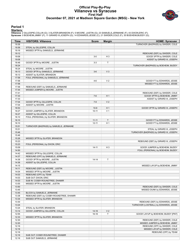#### **Official Play-By-Play Villanova vs Syracuse First Half December 07, 2021 at Madison Square Garden (MSG) - New York**



#### **Period 1**

<mark>Starters:</mark><br>Villanova: 2 GILLESPIE,COLLIN (G); 3 SLATER,BRANDON (F); 5 MOORE ,JUSTIN (G); 23 SAMUELS,JERMAINE (F); 43 DIXON,ERIC (F);<br>**Syracuse**: 0 BOEHEIM,JIMMY (F); 11 GIRARD III,JOSEPH (G); 14 EDWARDS,JESSE (C); 21 SWI

| Time           | <b>VISITORS: Villanova</b>                    | <b>Score</b> | <b>Margin</b>  | <b>HOME: Syracuse</b>                                         |
|----------------|-----------------------------------------------|--------------|----------------|---------------------------------------------------------------|
| 19:36          |                                               |              |                | TURNOVER (BADPASS) by SWIDER, COLE                            |
| 19:36          | STEAL by GILLESPIE, COLLIN                    |              |                |                                                               |
| 19:16          | MISSED 3PTR by SAMUELS, JERMAINE              |              |                |                                                               |
| 19:12          |                                               |              |                | REBOUND (DEF) by SWIDER, COLE                                 |
| 19:08          |                                               | $3-0$        | H <sub>3</sub> | GOOD! 3PTR by SWIDER, COLE                                    |
| 19:08          |                                               |              |                | ASSIST by GIRARD III, JOSEPH                                  |
| 18:48          | GOOD! 3PTR by MOORE, JUSTIN                   | $3 - 3$      | $\mathsf T$    |                                                               |
| 18:24          |                                               |              |                | TURNOVER (BADPASS) by BOEHEIM, BUDDY                          |
| 18:24          | STEAL by MOORE, JUSTIN                        |              |                |                                                               |
| 18:13          | GOOD! 3PTR by SAMUELS, JERMAINE               | $3-6$        | $V_3$          |                                                               |
| 18:13          | ASSIST by SLATER, BRANDON                     |              |                |                                                               |
| 17:58          | FOUL (PERSONAL) by SAMUELS, JERMAINE          |              |                |                                                               |
| 17:58          |                                               | $4-6$        | V <sub>2</sub> | GOOD! FT by EDWARDS, JESSE                                    |
| 17:58          |                                               |              |                | MISSED FT by EDWARDS, JESSE                                   |
| 17:58          | REBOUND (DEF) by SAMUELS, JERMAINE            |              |                |                                                               |
| 17:44<br>17:41 | MISSED JUMPER by MOORE, JUSTIN                |              |                |                                                               |
| 17:33          |                                               | $7-6$        | H <sub>1</sub> | REBOUND (DEF) by SWIDER, COLE<br>GOOD! 3PTR by BOEHEIM, JIMMY |
| 17:33          |                                               |              |                | ASSIST by GIRARD III, JOSEPH                                  |
| 17:04          | GOOD! 3PTR by GILLESPIE, COLLIN               | $7-9$        | V <sub>2</sub> |                                                               |
| 17:04          | ASSIST by MOORE, JUSTIN                       |              |                |                                                               |
| 16:53          |                                               | $10-9$       | H <sub>1</sub> | GOOD! 3PTR by GIRARD III, JOSEPH                              |
| 16:27          | GOOD! JUMPER by SLATER, BRANDON               | $10 - 11$    | V <sub>1</sub> |                                                               |
| 16:27          | ASSIST by GILLESPIE, COLLIN                   |              |                |                                                               |
| 16:10          | FOUL (PERSONAL) by SLATER, BRANDON            |              |                |                                                               |
| 16:10          |                                               | $11 - 11$    | $\mathsf{T}$   | GOOD! FT by EDWARDS, JESSE                                    |
| 16:10          |                                               | $12 - 11$    | H <sub>1</sub> | GOOD! FT by EDWARDS, JESSE                                    |
| 15:51          | TURNOVER (BADPASS) by SAMUELS, JERMAINE       |              |                |                                                               |
| 15:51          |                                               |              |                | STEAL by GIRARD III, JOSEPH                                   |
| 15:46          |                                               |              |                | TURNOVER (BADPASS) by GIRARD III, JOSEPH                      |
| 15:46          |                                               |              |                |                                                               |
| 15:26          | MISSED 3PTR by SLATER, BRANDON                |              |                |                                                               |
| 15:23          |                                               |              |                | REBOUND (DEF) by GIRARD III, JOSEPH                           |
| 15:23          | FOUL (PERSONAL) by DIXON, ERIC                |              |                |                                                               |
| 15:09          |                                               | $14 - 11$    | $H_3$          | GOOD! JUMPER by BOEHEIM, BUDDY                                |
| 14:50          |                                               |              |                | FOUL (PERSONAL) by BOEHEIM, BUDDY                             |
| 14:42          | MISSED 3PTR by GILLESPIE, COLLIN              |              |                |                                                               |
| 14:37          | REBOUND (OFF) by SAMUELS, JERMAINE            |              |                |                                                               |
| 14:36          | GOOD! 3PTR by MOORE, JUSTIN                   | $14 - 14$    | Τ              |                                                               |
| 14:36          | ASSIST by GILLESPIE, COLLIN                   |              |                |                                                               |
| 14:15          |                                               |              |                | MISSED LAYUP by BOEHEIM, JIMMY                                |
| 14:11          | REBOUND (DEF) by MOORE, JUSTIN                |              |                |                                                               |
| 14:04          | MISSED 3PTR by MOORE, JUSTIN                  |              |                |                                                               |
| 14:03<br>14:03 | REBOUND (OFF) by TEAM<br>SUB OUT: DIXON, ERIC |              |                |                                                               |
| 14:03          | SUB IN: COSBY-ROUNDTREE, DHAMIR               |              |                |                                                               |
| 13:55          | MISSED 3PTR by MOORE, JUSTIN                  |              |                |                                                               |
| 13:50          |                                               |              |                | REBOUND (DEF) by SWIDER, COLE                                 |
| 13:45          |                                               |              |                | MISSED DUNK by EDWARDS, JESSE                                 |
| 13:45          | BLOCK by SAMUELS, JERMAINE                    |              |                |                                                               |
| 13:38          | REBOUND (DEF) by COSBY-ROUNDTREE, DHAMIR      |              |                |                                                               |
| 13:34          | MISSED 3PTR by SLATER, BRANDON                |              |                |                                                               |
| 13:30          |                                               |              |                | REBOUND (DEF) by EDWARDS, JESSE                               |
| 13:24          |                                               |              |                | TURNOVER (LOSTBALL) by EDWARDS, JESSE                         |
| 13:24          | STEAL by SLATER, BRANDON                      |              |                |                                                               |
| 13:14          | GOOD! JUMPER by GILLESPIE, COLLIN             | $14 - 16$    | V <sub>2</sub> |                                                               |
| 12:55          |                                               | 16-16        | T              | GOOD! LAYUP by BOEHEIM, BUDDY [PNT]                           |
| 12:33          | MISSED 3PTR by SLATER, BRANDON                |              |                |                                                               |
| 12:30          |                                               |              |                | REBOUND (DEF) by SWIDER, COLE                                 |
| 12:20          |                                               |              |                | MISSED JUMPER by BOEHEIM, JIMMY                               |
| 12:16          |                                               |              |                | REBOUND (OFF) by SWIDER, COLE                                 |
| 12:16          |                                               |              |                | MISSED LAYUP by SWIDER, COLE                                  |
| 12:16          |                                               |              |                | REBOUND (OFF) by TEAM                                         |
| 12:16          | SUB OUT: COSBY-ROUNDTREE, DHAMIR              |              |                |                                                               |
| 12:16          | SUB OUT: SAMUELS, JERMAINE                    |              |                |                                                               |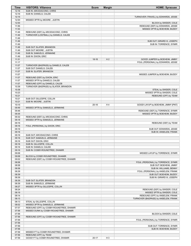| <b>Time</b>    | <b>VISITORS: Villanova</b>                                    | <b>Score</b> | <b>Margin</b>  | <b>HOME: Syracuse</b>                              |
|----------------|---------------------------------------------------------------|--------------|----------------|----------------------------------------------------|
| 12:16          | SUB IN: ARCIDIACONO, CHRIS                                    |              |                |                                                    |
| 12:16          | SUB IN: DANIELS, CALEB                                        |              |                |                                                    |
| 12:15          |                                                               |              |                | TURNOVER (TRAVEL) by EDWARDS, JESSE                |
| 12:00          | MISSED 3PTR by MOORE, JUSTIN                                  |              |                |                                                    |
| 12:00          |                                                               |              |                | BLOCK by SWIDER, COLE                              |
| 11:56          |                                                               |              |                | REBOUND (DEF) by EDWARDS, JESSE                    |
| 11:53<br>11:49 | REBOUND (DEF) by ARCIDIACONO, CHRIS                           |              |                | MISSED 3PTR by BOEHEIM, BUDDY                      |
| 11:49          | TURNOVER (LOSTBALL) by DANIELS, CALEB                         |              |                |                                                    |
| 11:49          |                                                               |              |                |                                                    |
| 11:49          |                                                               |              |                | SUB OUT: GIRARD III, JOSEPH                        |
| 11:49          |                                                               |              |                | SUB IN: TORRENCE, SYMIR                            |
| 11:49          | SUB OUT: SLATER, BRANDON                                      |              |                |                                                    |
| 11:49          | SUB OUT: MOORE, JUSTIN                                        |              |                |                                                    |
| 11:49          | SUB IN: SAMUELS, JERMAINE                                     |              |                |                                                    |
| 11:49          | SUB IN: DIXON, ERIC                                           |              |                |                                                    |
| 11:31          |                                                               | $18-16$      | H <sub>2</sub> | GOOD! JUMPER by BOEHEIM, JIMMY                     |
| 11:17<br>11:07 | TURNOVER (BADPASS) by DANIELS, CALEB                          |              |                | FOUL (PERSONAL) by EDWARDS, JESSE                  |
| 11:07          | SUB OUT: DANIELS, CALEB                                       |              |                |                                                    |
| 11:07          | SUB IN: SLATER, BRANDON                                       |              |                |                                                    |
| 11:07          |                                                               |              |                | MISSED JUMPER by BOEHEIM, BUDDY                    |
| 11:07          | REBOUND (DEF) by DIXON, ERIC                                  |              |                |                                                    |
| 11:07          | MISSED 3PTR by DANIELS, CALEB                                 |              |                |                                                    |
| 11:07          | REBOUND (OFF) by DANIELS, CALEB                               |              |                |                                                    |
| 10:39          | TURNOVER (BADPASS) by SLATER, BRANDON                         |              |                |                                                    |
| 10:39          |                                                               |              |                | STEAL by SWIDER, COLE                              |
| 10:23          |                                                               |              |                | MISSED 3PTR by SWIDER, COLE                        |
| 10:21          |                                                               |              |                | REBOUND (OFF) by TEAM                              |
| 10:21<br>10:21 | SUB OUT: GILLESPIE, COLLIN<br>SUB IN: MOORE, JUSTIN           |              |                |                                                    |
| 10:15          |                                                               | $20 - 16$    | H4             | GOOD! LAYUP by BOEHEIM, JIMMY [PNT]                |
| 09:49          | MISSED 3PTR by SAMUELS, JERMAINE                              |              |                |                                                    |
| 09:46          |                                                               |              |                | REBOUND (DEF) by TORRENCE, SYMIR                   |
| 09:35          |                                                               |              |                | MISSED 3PTR by BOEHEIM, BUDDY                      |
| 09:32          | REBOUND (DEF) by ARCIDIACONO, CHRIS                           |              |                |                                                    |
| 09:18          | MISSED 3PTR by SAMUELS, JERMAINE                              |              |                |                                                    |
| 09:16          |                                                               |              |                | REBOUND (DEF) by TEAM                              |
| 09:16          | FOUL (PERSONAL) by DIXON, ERIC                                |              |                |                                                    |
| 09:16          |                                                               |              |                | SUB OUT: EDWARDS, JESSE                            |
| 09:16<br>09:16 | SUB OUT: ARCIDIACONO, CHRIS                                   |              |                | SUB IN: ANSELEM, FRANK                             |
| 09:16          | SUB OUT: SAMUELS, JERMAINE                                    |              |                |                                                    |
| 09:16          | SUB OUT: DIXON, ERIC                                          |              |                |                                                    |
| 09:16          | SUB IN: GILLESPIE, COLLIN                                     |              |                |                                                    |
| 09:16          | SUB IN: DANIELS, CALEB                                        |              |                |                                                    |
| 09:16          | SUB IN: COSBY-ROUNDTREE, DHAMIR                               |              |                |                                                    |
| 09:06          |                                                               |              |                | MISSED LAYUP by TORRENCE, SYMIR                    |
| 09:06          | BLOCK by COSBY-ROUNDTREE, DHAMIR                              |              |                |                                                    |
| 09:02          | REBOUND (DEF) by COSBY-ROUNDTREE, DHAMIR                      |              |                |                                                    |
| 08:58          |                                                               |              |                | FOUL (PERSONAL) by TORRENCE, SYMIR                 |
| 08:58<br>08:58 |                                                               |              |                | SUB OUT: BOEHEIM, JIMMY<br>SUB IN: WILLIAMS, BENNY |
| 08:39          |                                                               |              |                | FOUL (PERSONAL) by ANSELEM, FRANK                  |
| 08:39          |                                                               |              |                | SUB OUT: BOEHEIM, BUDDY                            |
| 08:39          |                                                               |              |                | SUB IN: GIRARD III, JOSEPH                         |
| 08:39          | SUB OUT: SLATER, BRANDON                                      |              |                |                                                    |
| 08:39          | SUB IN: SAMUELS, JERMAINE                                     |              |                |                                                    |
| 08:27          | MISSED 3PTR by GILLESPIE, COLLIN                              |              |                |                                                    |
| 08:24          |                                                               |              |                | REBOUND (DEF) by SWIDER, COLE                      |
| 08:19          |                                                               |              |                | MISSED 3PTR by SWIDER, COLE                        |
| 08:14          |                                                               |              |                | REBOUND (OFF) by ANSELEM, FRANK                    |
| 08:13<br>08:13 | STEAL by GILLESPIE, COLLIN                                    |              |                | TURNOVER (BADPASS) by ANSELEM, FRANK               |
| 08:02          | MISSED 3PTR by SAMUELS, JERMAINE                              |              |                |                                                    |
| 07:57          | REBOUND (OFF) by COSBY-ROUNDTREE, DHAMIR                      |              |                |                                                    |
| 07:56          | MISSED DUNK by COSBY-ROUNDTREE, DHAMIR                        |              |                |                                                    |
| 07:56          |                                                               |              |                | BLOCK by SWIDER, COLE                              |
| 07:56          | REBOUND (OFF) by COSBY-ROUNDTREE, DHAMIR                      |              |                |                                                    |
| 07:56          |                                                               |              |                | FOUL (PERSONAL) by TORRENCE, SYMIR                 |
| 07:56          |                                                               |              |                |                                                    |
| 07:56          |                                                               |              |                | SUB OUT: TORRENCE, SYMIR                           |
| 07:56          |                                                               |              |                | SUB IN: BOEHEIM, BUDDY                             |
| 07:56<br>07:56 | MISSED FT by COSBY-ROUNDTREE, DHAMIR<br>REBOUND (OFF) by TEAM |              |                |                                                    |
| 07:56          | GOOD! FT by COSBY-ROUNDTREE, DHAMIR                           | $20 - 17$    | H <sub>3</sub> |                                                    |
|                |                                                               |              |                |                                                    |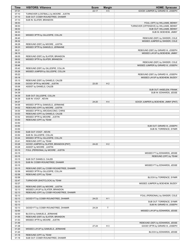| Time           | <b>VISITORS: Villanova</b>               | <b>Score</b> | <b>Margin</b>  | <b>HOME: Syracuse</b>                             |
|----------------|------------------------------------------|--------------|----------------|---------------------------------------------------|
| 07:31          |                                          | $22 - 17$    | H <sub>5</sub> | GOOD! JUMPER by GIRARD III, JOSEPH                |
| 07:10          | TURNOVER (LOSTBALL) by MOORE, JUSTIN     |              |                |                                                   |
| 07:10          | SUB OUT: COSBY-ROUNDTREE, DHAMIR         |              |                |                                                   |
| 07:10          | SUB IN: SLATER, BRANDON                  |              |                |                                                   |
| 06:53          |                                          |              |                | FOUL (OFF) by WILLIAMS, BENNY                     |
| 06:53          |                                          |              |                | TURNOVER (OFFENSIVE) by WILLIAMS, BENNY           |
| 06:53          |                                          |              |                | SUB OUT: WILLIAMS, BENNY                          |
| 06:53          |                                          |              |                | SUB IN: BOEHEIM, JIMMY                            |
| 06:43          | MISSED 3PTR by GILLESPIE, COLLIN         |              |                |                                                   |
| 06:40          |                                          |              |                | REBOUND (DEF) by SWIDER, COLE                     |
| 06:32          |                                          |              |                | MISSED JUMPER by SWIDER, COLE                     |
| 06:28          | REBOUND (DEF) by MOORE, JUSTIN           |              |                |                                                   |
| 06:23          | MISSED 3PTR by SAMUELS, JERMAINE         |              |                |                                                   |
| 06:21          |                                          |              |                | REBOUND (DEF) by GIRARD III, JOSEPH               |
| 06:10          |                                          |              |                | MISSED LAYUP by BOEHEIM, JIMMY                    |
| 06:05          | REBOUND (DEF) by SLATER, BRANDON         |              |                |                                                   |
| 06:02          | MISSED 3PTR by SLATER, BRANDON           |              |                |                                                   |
| 05:58          |                                          |              |                | REBOUND (DEF) by SWIDER, COLE                     |
| 05:46          |                                          |              |                | MISSED JUMPER by GIRARD III, JOSEPH               |
| 05:42          | REBOUND (DEF) by GILLESPIE, COLLIN       |              |                |                                                   |
| 05:26          | MISSED JUMPER by GILLESPIE, COLLIN       |              |                |                                                   |
| 05:22          |                                          |              |                | REBOUND (DEF) by GIRARD III, JOSEPH               |
| 05:18          |                                          |              |                | MISSED LAYUP by BOEHEIM, BUDDY                    |
| 05:15          | REBOUND (DEF) by DANIELS, CALEB          |              |                |                                                   |
| 05:06          | GOOD! 3PTR by MOORE, JUSTIN              | 22-20        | H <sub>2</sub> |                                                   |
| 05:06          | ASSIST by DANIELS, CALEB                 |              |                |                                                   |
| 04:39<br>04:39 |                                          |              |                | SUB OUT: ANSELEM, FRANK<br>SUB IN: EDWARDS, JESSE |
| 04:39          | SUB OUT: GILLESPIE, COLLIN               |              |                |                                                   |
| 04:39          | SUB IN: VOIGT, KEVIN                     |              |                |                                                   |
| 04:37          |                                          | 24-20        | H4             | GOOD! JUMPER by BOEHEIM, JIMMY [PNT]              |
| 04:06          | MISSED 3PTR by SAMUELS, JERMAINE         |              |                |                                                   |
| 04:02          | REBOUND (OFF) by MOORE, JUSTIN           |              |                |                                                   |
| 04:00          | MISSED 3PTR by ARCIDIACONO, CHRIS        |              |                |                                                   |
| 03:53          | REBOUND (OFF) by DANIELS, CALEB          |              |                |                                                   |
| 03:52          | MISSED 3PTR by MOORE, JUSTIN             |              |                |                                                   |
| 03:50          | REBOUND (OFF) by TEAM                    |              |                |                                                   |
| 03:50          |                                          |              |                |                                                   |
| 03:50          |                                          |              |                | SUB OUT: GIRARD III, JOSEPH                       |
| 03:50          |                                          |              |                | SUB IN: TORRENCE, SYMIR                           |
| 03:50          | SUB OUT: VOIGT, KEVIN                    |              |                |                                                   |
| 03:50          | SUB IN: GILLESPIE, COLLIN                |              |                |                                                   |
| 03:44          | MISSED 3PTR by GILLESPIE, COLLIN         |              |                |                                                   |
| 03:41          | REBOUND (OFF) by TEAM                    |              |                |                                                   |
| 03:28          | GOOD! JUMPER by SLATER, BRANDON [PNT]    | 24-22        | H <sub>2</sub> |                                                   |
| 03:28          | ASSIST by MOORE, JUSTIN                  |              |                |                                                   |
| 03:15          | FOUL (PERSONAL) by MOORE, JUSTIN         |              |                |                                                   |
| 03:15          |                                          |              |                | MISSED FT by EDWARDS, JESSE                       |
| 03:15          |                                          |              |                | REBOUND (OFF) by TEAM                             |
| 03:15          | SUB OUT: DANIELS, CALEB                  |              |                |                                                   |
| 03:15          | SUB IN: COSBY-ROUNDTREE, DHAMIR          |              |                |                                                   |
| 03:15          |                                          |              |                | MISSED FT by EDWARDS, JESSE                       |
| 03:15          | REBOUND (DEF) by COSBY-ROUNDTREE, DHAMIR |              |                |                                                   |
| 02:58          | MISSED 3PTR by GILLESPIE, COLLIN         |              |                |                                                   |
| 02:58          | REBOUND (OFF) by TEAM                    |              |                |                                                   |
| 02:58          |                                          |              |                | BLOCK by TORRENCE, SYMIR                          |
| 02:47          | TURNOVER (SHOTCLOCK) by TEAM             |              |                |                                                   |
| 02:27          |                                          |              |                | MISSED JUMPER by BOEHEIM, BUDDY                   |
| 02:23          | REBOUND (DEF) by MOORE, JUSTIN           |              |                |                                                   |
| 02:13          | MISSED LAYUP by SLATER, BRANDON          |              |                |                                                   |
| 02:13          | REBOUND (OFF) by COSBY-ROUNDTREE, DHAMIR |              |                |                                                   |
| 02:13          |                                          |              |                | FOUL (PERSONAL) by SWIDER, COLE                   |
| 02:13          | GOOD! FT by COSBY-ROUNDTREE, DHAMIR      | 24-23        | H <sub>1</sub> |                                                   |
| 02:13          |                                          |              |                | SUB OUT: TORRENCE, SYMIR                          |
| 02:13          |                                          |              |                | SUB IN: GIRARD III, JOSEPH                        |
| 02:13          | GOOD! FT by COSBY-ROUNDTREE, DHAMIR      | 24-24        | T              |                                                   |
| 02:00          |                                          |              |                | MISSED LAYUP by EDWARDS, JESSE                    |
| 02:00          | BLOCK by SAMUELS, JERMAINE               |              |                |                                                   |
| 01:55          | REBOUND (DEF) by SLATER, BRANDON         |              |                |                                                   |
| 01:53          | MISSED 3PTR by MOORE, JUSTIN             |              |                |                                                   |
| 01:49          |                                          |              |                | REBOUND (DEF) by EDWARDS, JESSE                   |
| 01:38          |                                          | $27 - 24$    | H <sub>3</sub> | GOOD! 3PTR by GIRARD III, JOSEPH                  |
| 01:20          | MISSED LAYUP by SAMUELS, JERMAINE        |              |                |                                                   |
| 01:20          |                                          |              |                | BLOCK by EDWARDS, JESSE                           |
| 01:18          | REBOUND (OFF) by TEAM                    |              |                |                                                   |
| 01:18          | SUB OUT: COSBY-ROUNDTREE, DHAMIR         |              |                |                                                   |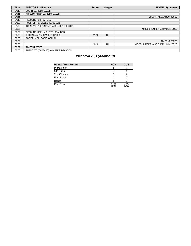| <b>Time</b> | <b>VISITORS: Villanova</b>                | <b>Score</b> | <b>Margin</b>  | <b>HOME: Syracuse</b>                |
|-------------|-------------------------------------------|--------------|----------------|--------------------------------------|
| 01:18       | SUB IN: DANIELS, CALEB                    |              |                |                                      |
| 01:11       | MISSED 3PTR by DANIELS, CALEB             |              |                |                                      |
| 01:11       |                                           |              |                | BLOCK by EDWARDS, JESSE              |
| 01:10       | REBOUND (OFF) by TEAM                     |              |                |                                      |
| 01:06       | FOUL (OFF) by GILLESPIE, COLLIN           |              |                |                                      |
| 01:06       | TURNOVER (OFFENSIVE) by GILLESPIE, COLLIN |              |                |                                      |
| 00:55       |                                           |              |                | MISSED JUMPER by SWIDER, COLE        |
| 00:52       | REBOUND (DEF) by SLATER, BRANDON          |              |                |                                      |
| 00:36       | GOOD! LAYUP by DANIELS, CALEB             | $27 - 26$    | H <sub>1</sub> |                                      |
| 00:36       | ASSIST by GILLESPIE, COLLIN               |              |                |                                      |
| 00:22       |                                           |              |                | TIMEOUT 30SEC                        |
| 00:05       |                                           | 29-26        | $H_3$          | GOOD! JUMPER by BOEHEIM, JIMMY [PNT] |
| 00:02       | TIMEOUT 30SEC                             |              |                |                                      |
| 00:00       | TURNOVER (BADPASS) by SLATER, BRANDON     |              |                |                                      |

# **Villanova 26, Syracuse 29**

| <b>Points (This Period)</b> | <b>NOV</b>     | <b>CUS</b>     |
|-----------------------------|----------------|----------------|
| In the Paint                |                |                |
| Off Turns                   |                |                |
| 2nd Chance                  |                |                |
| <b>Fast Break</b>           |                |                |
| Bench                       |                |                |
| Per Poss                    | 0.765<br>11/34 | 0.879<br>13/33 |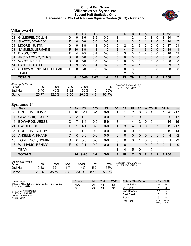#### **Official Box Score Villanova vs Syracuse Second Half Statistics Only December 07, 2021 at Madison Square Garden (MSG) - New York**



## **Villanova 41**

| No. | Player                  | S  | <b>Pts</b> | FG.     | 3FG      | <b>FT</b> | <b>OR</b>     | <b>DR</b> | <b>TR</b> | PF | A | TO           | <b>Blk</b>   | Stl          | Min          | $+/-$          |
|-----|-------------------------|----|------------|---------|----------|-----------|---------------|-----------|-----------|----|---|--------------|--------------|--------------|--------------|----------------|
| 02  | GILLESPIE, COLLIN       | G  | 9          | $3-6$   | 3-6      | $0-0$     |               |           | 2         |    | 2 |              |              |              | 20           | 17             |
| 03  | <b>SLATER, BRANDON</b>  | F. | 0          | $0 - 8$ | $0 - 5$  | $0 - 0$   | 2             | 1         | 3.        | 0  |   | 1            | $\Omega$     | 0            | 20           | 17             |
| 05  | MOORE, JUSTIN           | G  | 9          | 4-8     | $1 - 4$  | $0 - 0$   | 0             | 2         | 2         | 3  | 0 | 0            | 0            | 0            | 17           | -21            |
| 23  | SAMUELS, JERMAINE       | F. | 10         | $4 - 8$ | $1 - 2$  | $1 - 2$   | 3             | 4         |           |    | 3 | $\mathbf{0}$ | $\mathbf{0}$ | $\mathbf{0}$ | 18           | 11             |
| 43  | DIXON, ERIC             | F  | 4          | $2 - 5$ | $0 - 1$  | $0 - 0$   | 3             | 3         | 6         | 1. | 2 | 0            | $\Omega$     | 0            | 16           | 12             |
| 04  | ARCIDIACONO, CHRIS      | G  | $\Omega$   | $0 - 0$ | $0 - 0$  | $0 - 0$   | 0             | 0         | 0         | 0  | 0 | $\Omega$     | $\mathbf{0}$ | $\Omega$     | $\mathbf{0}$ | $\mathbf{0}$   |
| 12  | <b>VOIGT, KEVIN</b>     | G  | 0          | $0 - 0$ | $0 - 0$  | $0 - 0$   | 0             | $\Omega$  | 0         | 0  | 0 | 0            | $\Omega$     | 0            | $\Omega$     | 0              |
| 14  | DANIELS, CALEB          | G  | 9          | $3 - 5$ | $3 - 4$  | $0 - 0$   | $\mathcal{P}$ | 2         | 4         | 1  | 0 | $\Omega$     | $\Omega$     | $\Omega$     | 9            | $\overline{7}$ |
| 21  | COSBY-ROUNDTREE, DHAMII | F. | 0          | $0 - 0$ | $0-0$    | $0 - 0$   | 0             | 0         | 0         | 0  | 0 | 0            | $\Omega$     | 0            | 0            | 0              |
|     | <b>TEAM</b>             |    |            |         |          |           | 3             | 2         | 5         | 0  |   | 0            |              |              |              |                |
|     | <b>TOTALS</b>           |    | 41         | 16-40   | $8 - 22$ | $1 - 2$   | 14            | 15        | 29        |    | 8 | 2            | 0            | 1            | 100          |                |
|     |                         |    |            |         |          |           |               |           |           |    |   |              |              |              |              |                |

| <b>Shooting By Period</b><br>Period | FG    | FG%   | 3FG       | 3FG%  |         | FT%   | Deadball Rebounds: 2,0<br>Last FG Half: NOV - |
|-------------------------------------|-------|-------|-----------|-------|---------|-------|-----------------------------------------------|
| 2nd Half                            | 16-40 | 40%   | $8-22$    | 36%   | $1 - 2$ | .50%  |                                               |
| Game                                | 25-77 | 32.5% | $13 - 50$ | 26.0% | 4-6     | 66.7% |                                               |

# **Syracuse 24**

| No. | Player                    | S  | <b>Pts</b>    | FG.      | 3FG     | <b>FT</b> | OR | <b>DR</b> | TR       | <b>PF</b>    | A              | TO       | <b>Blk</b>   | Stl          | Min   | $+/-$    |
|-----|---------------------------|----|---------------|----------|---------|-----------|----|-----------|----------|--------------|----------------|----------|--------------|--------------|-------|----------|
| 00  | <b>BOEHEIM, JIMMY</b>     | F. | 10            | $5 - 11$ | $0 - 1$ | $0 - 0$   |    |           | 2        | 0            | 0              |          |              |              | 20    | $-17$    |
| 11  | <b>GIRARD III, JOSEPH</b> | G  | 3             | $1 - 3$  | $1 - 3$ | $0-0$     | 0  |           |          | 0            | 1              | 3        | $\Omega$     | $\mathbf{0}$ | 20    | $-17$    |
| 14  | <b>EDWARDS, JESSE</b>     |    |               | $1 - 4$  | $0 - 0$ | $5-9$     | 3  | 1         | 4        | 2            | $\Omega$       | 0        |              |              | 16    | $-15$    |
| 21  | SWIDER, COLE              | F. | $\mathcal{P}$ | $1 - 1$  | $0 - 0$ | $0-0$     |    | 3         | 4        | $\mathbf{0}$ | $\Omega$       | $\Omega$ | 1            | $\Omega$     | 19    | $-17$    |
| 35  | <b>BOEHEIM, BUDDY</b>     | G  | $\mathcal{P}$ | $1 - 8$  | $0 - 3$ | $0-0$     | 0  | $\Omega$  | 0        |              |                | 0        | $\Omega$     | $\Omega$     | 19    | -14      |
| 05  | <b>ANSELEM, FRANK</b>     | C  | $\Omega$      | $0 - 0$  | $0 - 0$ | $0 - 0$   | 0  | $\Omega$  | $\Omega$ | $\Omega$     | $\overline{0}$ | $\Omega$ | $\Omega$     | $\Omega$     | 4     | $-2$     |
| 10  | <b>TORRENCE, SYMIR</b>    | G  | $\Omega$      | $0-0$    | $0 - 0$ | $0 - 0$   | 0  | $\Omega$  | $\Omega$ | 1            | $\Omega$       | 0        | $\Omega$     | $\Omega$     | 1     | -3       |
| 13  | <b>WILLIAMS, BENNY</b>    | F. | 0             | $0 - 1$  | $0 - 0$ | $0-0$     | 1  | $\Omega$  |          | 1            | $\Omega$       | $\Omega$ | $\Omega$     | $\Omega$     | -1    | $\Omega$ |
|     | <b>TEAM</b>               |    |               |          |         |           | 1. | 4         | 5        | $\mathbf 0$  |                | 0        |              |              |       |          |
|     | <b>TOTALS</b>             |    |               | 24 9-28  | $1 - 7$ | $5-9$     | 7  | 10        | 17       | 5            | $2^{\circ}$    | 4        | $\mathbf{P}$ |              | 2 100 |          |

| <b>Shooting By Period</b><br>Period | FG        | FG%   | 3FG      | 3FG%  | FТ       | FT%   |
|-------------------------------------|-----------|-------|----------|-------|----------|-------|
| 2nd Half                            | $9 - 28$  | 32%   | 1.7      | 14%   | 5-9      | .56%  |
| Game                                | $20 - 56$ | 35.7% | $5 - 15$ | 33.3% | $8 - 15$ | 53.3% |

*Deadball Rebounds:* 2,0 *Last FG Half:* CUS -

| Game Notes:                                                            | <b>Score</b> | 1st | 2 <sub>nd</sub> | TOT | <b>Points (This Period)</b> | <b>NOV</b>     | <b>CUS</b>     |
|------------------------------------------------------------------------|--------------|-----|-----------------|-----|-----------------------------|----------------|----------------|
| Officials: Mike Roberts, John Gaffney, Bert Smith<br>Attendance: 14344 | <b>NOV</b>   | 26  | 41              | 67  | In the Paint                |                | 14             |
|                                                                        | CUS          | 29  | 24              | 53  | Off Turns                   |                |                |
| Start Time: 10:03 PM ET                                                |              |     |                 |     | 2nd Chance                  |                |                |
| End Time: 12:00 AM ET<br>Game Duration: 1:57                           |              |     |                 |     | <b>Fast Break</b>           |                |                |
| Neutral Court:                                                         |              |     |                 |     | Bench                       |                |                |
|                                                                        |              |     |                 |     | Per Poss                    | 1.414<br>17/29 | 0.828<br>12/29 |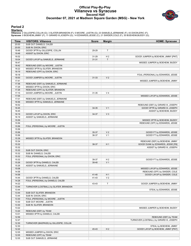#### **Official Play-By-Play Villanova vs Syracuse Second Half December 07, 2021 at Madison Square Garden (MSG) - New York**



#### **Period 2**

<mark>Starters:</mark><br>Villanova: 2 GILLESPIE,COLLIN (G); 3 SLATER,BRANDON (F); 5 MOORE ,JUSTIN (G); 23 SAMUELS,JERMAINE (F); 43 DIXON,ERIC (F);<br>**Syracuse**: 0 BOEHEIM,JIMMY (F); 11 GIRARD III,JOSEPH (G); 14 EDWARDS,JESSE (C); 21 SWI

| <b>VISITORS: Villanova</b><br>Time<br><b>Margin</b><br>SUB OUT: DANIELS, CALEB<br>20:00<br>20:00<br>SUB IN: DIXON, ERIC<br>T<br>19:48<br>GOOD! 3PTR by GILLESPIE, COLLIN<br>29-29<br>19:48<br>ASSIST by DIXON, ERIC<br>19:32<br>31-29<br>H <sub>2</sub><br>GOOD! JUMPER by BOEHEIM, JIMMY [PNT]<br>19:04<br>GOOD! LAYUP by SAMUELS, JERMAINE<br>$\mathsf{T}$<br>$31 - 31$<br>18:47<br>MISSED JUMPER by BOEHEIM, BUDDY<br>18:42<br>REBOUND (DEF) by MOORE, JUSTIN<br>18:22<br>MISSED 3PTR by SLATER, BRANDON<br>18:19<br>REBOUND (OFF) by DIXON, ERIC<br>18:18<br>FOUL (PERSONAL) by EDWARDS, JESSE<br>18:00<br>GOOD! JUMPER by MOORE, JUSTIN<br>V <sub>2</sub><br>$31 - 33$<br>17:41<br>MISSED JUMPER by BOEHEIM, JIMMY<br>17:36<br>REBOUND (DEF) by SAMUELS, JERMAINE<br>17:29<br>MISSED 3PTR by DIXON, ERIC<br>17:26<br>REBOUND (OFF) by SLATER, BRANDON<br>17:15<br>V <sub>4</sub><br>GOOD! JUMPER by MOORE, JUSTIN<br>31-35<br>17:05<br>MISSED LAYUP by EDWARDS, JESSE<br>17:01<br>REBOUND (DEF) by SAMUELS, JERMAINE<br>16:56<br>MISSED 3PTR by SAMUELS, JERMAINE<br>16:52<br>REBOUND (DEF) by GIRARD III, JOSEPH<br>16:45<br>V <sub>1</sub><br>GOOD! 3PTR by GIRARD III, JOSEPH<br>34-35<br>16:45<br>ASSIST by BOEHEIM, BUDDY<br>16:19<br>GOOD! LAYUP by DIXON, ERIC<br>V <sub>3</sub><br>34-37 | <b>HOME: Syracuse</b>   |
|-------------------------------------------------------------------------------------------------------------------------------------------------------------------------------------------------------------------------------------------------------------------------------------------------------------------------------------------------------------------------------------------------------------------------------------------------------------------------------------------------------------------------------------------------------------------------------------------------------------------------------------------------------------------------------------------------------------------------------------------------------------------------------------------------------------------------------------------------------------------------------------------------------------------------------------------------------------------------------------------------------------------------------------------------------------------------------------------------------------------------------------------------------------------------------------------------------------------------------------------------------------------------------------------------------|-------------------------|
|                                                                                                                                                                                                                                                                                                                                                                                                                                                                                                                                                                                                                                                                                                                                                                                                                                                                                                                                                                                                                                                                                                                                                                                                                                                                                                       |                         |
|                                                                                                                                                                                                                                                                                                                                                                                                                                                                                                                                                                                                                                                                                                                                                                                                                                                                                                                                                                                                                                                                                                                                                                                                                                                                                                       |                         |
|                                                                                                                                                                                                                                                                                                                                                                                                                                                                                                                                                                                                                                                                                                                                                                                                                                                                                                                                                                                                                                                                                                                                                                                                                                                                                                       |                         |
|                                                                                                                                                                                                                                                                                                                                                                                                                                                                                                                                                                                                                                                                                                                                                                                                                                                                                                                                                                                                                                                                                                                                                                                                                                                                                                       |                         |
|                                                                                                                                                                                                                                                                                                                                                                                                                                                                                                                                                                                                                                                                                                                                                                                                                                                                                                                                                                                                                                                                                                                                                                                                                                                                                                       |                         |
|                                                                                                                                                                                                                                                                                                                                                                                                                                                                                                                                                                                                                                                                                                                                                                                                                                                                                                                                                                                                                                                                                                                                                                                                                                                                                                       |                         |
|                                                                                                                                                                                                                                                                                                                                                                                                                                                                                                                                                                                                                                                                                                                                                                                                                                                                                                                                                                                                                                                                                                                                                                                                                                                                                                       |                         |
|                                                                                                                                                                                                                                                                                                                                                                                                                                                                                                                                                                                                                                                                                                                                                                                                                                                                                                                                                                                                                                                                                                                                                                                                                                                                                                       |                         |
|                                                                                                                                                                                                                                                                                                                                                                                                                                                                                                                                                                                                                                                                                                                                                                                                                                                                                                                                                                                                                                                                                                                                                                                                                                                                                                       |                         |
|                                                                                                                                                                                                                                                                                                                                                                                                                                                                                                                                                                                                                                                                                                                                                                                                                                                                                                                                                                                                                                                                                                                                                                                                                                                                                                       |                         |
|                                                                                                                                                                                                                                                                                                                                                                                                                                                                                                                                                                                                                                                                                                                                                                                                                                                                                                                                                                                                                                                                                                                                                                                                                                                                                                       |                         |
|                                                                                                                                                                                                                                                                                                                                                                                                                                                                                                                                                                                                                                                                                                                                                                                                                                                                                                                                                                                                                                                                                                                                                                                                                                                                                                       |                         |
|                                                                                                                                                                                                                                                                                                                                                                                                                                                                                                                                                                                                                                                                                                                                                                                                                                                                                                                                                                                                                                                                                                                                                                                                                                                                                                       |                         |
|                                                                                                                                                                                                                                                                                                                                                                                                                                                                                                                                                                                                                                                                                                                                                                                                                                                                                                                                                                                                                                                                                                                                                                                                                                                                                                       |                         |
|                                                                                                                                                                                                                                                                                                                                                                                                                                                                                                                                                                                                                                                                                                                                                                                                                                                                                                                                                                                                                                                                                                                                                                                                                                                                                                       |                         |
|                                                                                                                                                                                                                                                                                                                                                                                                                                                                                                                                                                                                                                                                                                                                                                                                                                                                                                                                                                                                                                                                                                                                                                                                                                                                                                       |                         |
|                                                                                                                                                                                                                                                                                                                                                                                                                                                                                                                                                                                                                                                                                                                                                                                                                                                                                                                                                                                                                                                                                                                                                                                                                                                                                                       |                         |
|                                                                                                                                                                                                                                                                                                                                                                                                                                                                                                                                                                                                                                                                                                                                                                                                                                                                                                                                                                                                                                                                                                                                                                                                                                                                                                       |                         |
|                                                                                                                                                                                                                                                                                                                                                                                                                                                                                                                                                                                                                                                                                                                                                                                                                                                                                                                                                                                                                                                                                                                                                                                                                                                                                                       |                         |
|                                                                                                                                                                                                                                                                                                                                                                                                                                                                                                                                                                                                                                                                                                                                                                                                                                                                                                                                                                                                                                                                                                                                                                                                                                                                                                       |                         |
|                                                                                                                                                                                                                                                                                                                                                                                                                                                                                                                                                                                                                                                                                                                                                                                                                                                                                                                                                                                                                                                                                                                                                                                                                                                                                                       |                         |
|                                                                                                                                                                                                                                                                                                                                                                                                                                                                                                                                                                                                                                                                                                                                                                                                                                                                                                                                                                                                                                                                                                                                                                                                                                                                                                       |                         |
|                                                                                                                                                                                                                                                                                                                                                                                                                                                                                                                                                                                                                                                                                                                                                                                                                                                                                                                                                                                                                                                                                                                                                                                                                                                                                                       |                         |
| 16:19<br>ASSIST by SAMUELS, JERMAINE                                                                                                                                                                                                                                                                                                                                                                                                                                                                                                                                                                                                                                                                                                                                                                                                                                                                                                                                                                                                                                                                                                                                                                                                                                                                  |                         |
| 15:59<br>MISSED 3PTR by BOEHEIM, BUDDY                                                                                                                                                                                                                                                                                                                                                                                                                                                                                                                                                                                                                                                                                                                                                                                                                                                                                                                                                                                                                                                                                                                                                                                                                                                                |                         |
| 15:56<br>REBOUND (OFF) by EDWARDS, JESSE                                                                                                                                                                                                                                                                                                                                                                                                                                                                                                                                                                                                                                                                                                                                                                                                                                                                                                                                                                                                                                                                                                                                                                                                                                                              |                         |
| FOUL (PERSONAL) by MOORE, JUSTIN<br>15:56                                                                                                                                                                                                                                                                                                                                                                                                                                                                                                                                                                                                                                                                                                                                                                                                                                                                                                                                                                                                                                                                                                                                                                                                                                                             |                         |
| 15:56                                                                                                                                                                                                                                                                                                                                                                                                                                                                                                                                                                                                                                                                                                                                                                                                                                                                                                                                                                                                                                                                                                                                                                                                                                                                                                 |                         |
| V <sub>2</sub><br>GOOD! FT by EDWARDS, JESSE<br>15:56<br>35-37                                                                                                                                                                                                                                                                                                                                                                                                                                                                                                                                                                                                                                                                                                                                                                                                                                                                                                                                                                                                                                                                                                                                                                                                                                        |                         |
| V <sub>1</sub><br>15:56<br>36-37<br>GOOD! FT by EDWARDS, JESSE                                                                                                                                                                                                                                                                                                                                                                                                                                                                                                                                                                                                                                                                                                                                                                                                                                                                                                                                                                                                                                                                                                                                                                                                                                        |                         |
| 15:39<br>MISSED 3PTR by SLATER, BRANDON                                                                                                                                                                                                                                                                                                                                                                                                                                                                                                                                                                                                                                                                                                                                                                                                                                                                                                                                                                                                                                                                                                                                                                                                                                                               |                         |
| 15:34<br>REBOUND (DEF) by BOEHEIM, JIMMY                                                                                                                                                                                                                                                                                                                                                                                                                                                                                                                                                                                                                                                                                                                                                                                                                                                                                                                                                                                                                                                                                                                                                                                                                                                              |                         |
| 15:32<br>H <sub>1</sub><br>GOOD! DUNK by EDWARDS, JESSE [FB]<br>38-37                                                                                                                                                                                                                                                                                                                                                                                                                                                                                                                                                                                                                                                                                                                                                                                                                                                                                                                                                                                                                                                                                                                                                                                                                                 |                         |
| 15:32<br>ASSIST by GIRARD III, JOSEPH                                                                                                                                                                                                                                                                                                                                                                                                                                                                                                                                                                                                                                                                                                                                                                                                                                                                                                                                                                                                                                                                                                                                                                                                                                                                 |                         |
| 15:32<br>SUB OUT: DIXON, ERIC                                                                                                                                                                                                                                                                                                                                                                                                                                                                                                                                                                                                                                                                                                                                                                                                                                                                                                                                                                                                                                                                                                                                                                                                                                                                         |                         |
| 15:32<br>SUB IN: DANIELS, CALEB                                                                                                                                                                                                                                                                                                                                                                                                                                                                                                                                                                                                                                                                                                                                                                                                                                                                                                                                                                                                                                                                                                                                                                                                                                                                       |                         |
| 15:32<br>FOUL (PERSONAL) by DIXON, ERIC                                                                                                                                                                                                                                                                                                                                                                                                                                                                                                                                                                                                                                                                                                                                                                                                                                                                                                                                                                                                                                                                                                                                                                                                                                                               |                         |
| 15:32<br>H <sub>2</sub><br>39-37<br>GOOD! FT by EDWARDS, JESSE                                                                                                                                                                                                                                                                                                                                                                                                                                                                                                                                                                                                                                                                                                                                                                                                                                                                                                                                                                                                                                                                                                                                                                                                                                        |                         |
| 15:26<br>GOOD! 3PTR by DANIELS, CALEB<br>V <sub>1</sub><br>39-40                                                                                                                                                                                                                                                                                                                                                                                                                                                                                                                                                                                                                                                                                                                                                                                                                                                                                                                                                                                                                                                                                                                                                                                                                                      |                         |
| 15:26<br>ASSIST by SAMUELS, JERMAINE                                                                                                                                                                                                                                                                                                                                                                                                                                                                                                                                                                                                                                                                                                                                                                                                                                                                                                                                                                                                                                                                                                                                                                                                                                                                  |                         |
| 15:08<br>MISSED LAYUP by EDWARDS, JESSE                                                                                                                                                                                                                                                                                                                                                                                                                                                                                                                                                                                                                                                                                                                                                                                                                                                                                                                                                                                                                                                                                                                                                                                                                                                               |                         |
| 14:58<br>REBOUND (OFF) by SWIDER, COLE                                                                                                                                                                                                                                                                                                                                                                                                                                                                                                                                                                                                                                                                                                                                                                                                                                                                                                                                                                                                                                                                                                                                                                                                                                                                |                         |
| 14:58<br>GOOD! LAYUP by SWIDER, COLE<br>41-40<br>H <sub>1</sub>                                                                                                                                                                                                                                                                                                                                                                                                                                                                                                                                                                                                                                                                                                                                                                                                                                                                                                                                                                                                                                                                                                                                                                                                                                       |                         |
| 14:44<br>V <sub>2</sub><br>41-43<br>GOOD! 3PTR by DANIELS, CALEB                                                                                                                                                                                                                                                                                                                                                                                                                                                                                                                                                                                                                                                                                                                                                                                                                                                                                                                                                                                                                                                                                                                                                                                                                                      |                         |
| 14:28<br>FOUL (PERSONAL) by DANIELS, CALEB                                                                                                                                                                                                                                                                                                                                                                                                                                                                                                                                                                                                                                                                                                                                                                                                                                                                                                                                                                                                                                                                                                                                                                                                                                                            |                         |
| 14:22<br>T<br>GOOD! JUMPER by BOEHEIM, JIMMY<br>43-43                                                                                                                                                                                                                                                                                                                                                                                                                                                                                                                                                                                                                                                                                                                                                                                                                                                                                                                                                                                                                                                                                                                                                                                                                                                 |                         |
| 13:44<br>TURNOVER (LOSTBALL) by SLATER, BRANDON                                                                                                                                                                                                                                                                                                                                                                                                                                                                                                                                                                                                                                                                                                                                                                                                                                                                                                                                                                                                                                                                                                                                                                                                                                                       |                         |
| 13:44<br>STEAL by EDWARDS, JESSE                                                                                                                                                                                                                                                                                                                                                                                                                                                                                                                                                                                                                                                                                                                                                                                                                                                                                                                                                                                                                                                                                                                                                                                                                                                                      |                         |
| 13:44<br>SUB OUT: SLATER, BRANDON                                                                                                                                                                                                                                                                                                                                                                                                                                                                                                                                                                                                                                                                                                                                                                                                                                                                                                                                                                                                                                                                                                                                                                                                                                                                     |                         |
| 13:44<br>SUB IN: DIXON, ERIC                                                                                                                                                                                                                                                                                                                                                                                                                                                                                                                                                                                                                                                                                                                                                                                                                                                                                                                                                                                                                                                                                                                                                                                                                                                                          |                         |
| 13:30<br>FOUL (PERSONAL) by MOORE, JUSTIN                                                                                                                                                                                                                                                                                                                                                                                                                                                                                                                                                                                                                                                                                                                                                                                                                                                                                                                                                                                                                                                                                                                                                                                                                                                             |                         |
| SUB OUT: MOORE, JUSTIN<br>13:30                                                                                                                                                                                                                                                                                                                                                                                                                                                                                                                                                                                                                                                                                                                                                                                                                                                                                                                                                                                                                                                                                                                                                                                                                                                                       |                         |
| 13:30<br>SUB IN: SLATER, BRANDON                                                                                                                                                                                                                                                                                                                                                                                                                                                                                                                                                                                                                                                                                                                                                                                                                                                                                                                                                                                                                                                                                                                                                                                                                                                                      |                         |
| 13:22<br>MISSED JUMPER by BOEHEIM, BUDDY<br>REBOUND (DEF) by TEAM                                                                                                                                                                                                                                                                                                                                                                                                                                                                                                                                                                                                                                                                                                                                                                                                                                                                                                                                                                                                                                                                                                                                                                                                                                     |                         |
| 13:20                                                                                                                                                                                                                                                                                                                                                                                                                                                                                                                                                                                                                                                                                                                                                                                                                                                                                                                                                                                                                                                                                                                                                                                                                                                                                                 |                         |
| 13:01<br>MISSED 3PTR by DANIELS, CALEB<br>12:59                                                                                                                                                                                                                                                                                                                                                                                                                                                                                                                                                                                                                                                                                                                                                                                                                                                                                                                                                                                                                                                                                                                                                                                                                                                       | REBOUND (DEF) by TEAM   |
| 12:47<br>TURNOVER (LOSTBALL) by GIRARD III, JOSEPH                                                                                                                                                                                                                                                                                                                                                                                                                                                                                                                                                                                                                                                                                                                                                                                                                                                                                                                                                                                                                                                                                                                                                                                                                                                    |                         |
| TURNOVER (BADPASS) by GILLESPIE, COLLIN<br>12:30                                                                                                                                                                                                                                                                                                                                                                                                                                                                                                                                                                                                                                                                                                                                                                                                                                                                                                                                                                                                                                                                                                                                                                                                                                                      |                         |
| 12:30                                                                                                                                                                                                                                                                                                                                                                                                                                                                                                                                                                                                                                                                                                                                                                                                                                                                                                                                                                                                                                                                                                                                                                                                                                                                                                 | STEAL by BOEHEIM, JIMMY |
| 12:22<br>45-43<br>H <sub>2</sub><br>GOOD! LAYUP by BOEHEIM, JIMMY [PNT]                                                                                                                                                                                                                                                                                                                                                                                                                                                                                                                                                                                                                                                                                                                                                                                                                                                                                                                                                                                                                                                                                                                                                                                                                               |                         |
| 12:05<br>MISSED JUMPER by DIXON, ERIC                                                                                                                                                                                                                                                                                                                                                                                                                                                                                                                                                                                                                                                                                                                                                                                                                                                                                                                                                                                                                                                                                                                                                                                                                                                                 |                         |
| 12:05<br>REBOUND (OFF) by TEAM                                                                                                                                                                                                                                                                                                                                                                                                                                                                                                                                                                                                                                                                                                                                                                                                                                                                                                                                                                                                                                                                                                                                                                                                                                                                        |                         |
| 12:05<br>SUB OUT: SAMUELS, JERMAINE                                                                                                                                                                                                                                                                                                                                                                                                                                                                                                                                                                                                                                                                                                                                                                                                                                                                                                                                                                                                                                                                                                                                                                                                                                                                   |                         |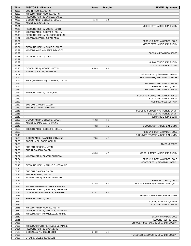| Time           | <b>VISITORS: Villanova</b>                       | <b>Score</b> | <b>Margin</b>  | <b>HOME: Syracuse</b>                                              |
|----------------|--------------------------------------------------|--------------|----------------|--------------------------------------------------------------------|
| 12:05          | SUB IN: MOORE, JUSTIN                            |              |                |                                                                    |
| 12:00          | MISSED 3PTR by MOORE, JUSTIN                     |              |                |                                                                    |
| 12:00          | REBOUND (OFF) by DANIELS, CALEB                  |              |                |                                                                    |
| 11:53          | GOOD! 3PTR by GILLESPIE, COLLIN                  | 45-46        | V <sub>1</sub> |                                                                    |
| 11:53          | ASSIST by DIXON, ERIC                            |              |                |                                                                    |
| 11:24          |                                                  |              |                | MISSED 3PTR by BOEHEIM, BUDDY                                      |
| 11:20          | REBOUND (DEF) by MOORE, JUSTIN                   |              |                |                                                                    |
| 11:06          | MISSED 3PTR by GILLESPIE, COLLIN                 |              |                |                                                                    |
| 11:03          | REBOUND (OFF) by GILLESPIE, COLLIN               |              |                |                                                                    |
| 11:01<br>10:57 | MISSED JUMPER by DIXON, ERIC                     |              |                |                                                                    |
| 10:55          |                                                  |              |                | REBOUND (DEF) by SWIDER, COLE<br>MISSED 3PTR by BOEHEIM, BUDDY     |
| 10:51          | REBOUND (DEF) by DANIELS, CALEB                  |              |                |                                                                    |
| 10:29          | MISSED LAYUP by SLATER, BRANDON                  |              |                |                                                                    |
| 10:29          |                                                  |              |                | BLOCK by EDWARDS, JESSE                                            |
| 10:29          | REBOUND (OFF) by TEAM                            |              |                |                                                                    |
| 10:29          |                                                  |              |                |                                                                    |
| 10:29          |                                                  |              |                | SUB OUT: BOEHEIM, BUDDY                                            |
| 10:29          |                                                  |              |                | SUB IN: TORRENCE, SYMIR                                            |
| 10:26          | GOOD! 3PTR by MOORE, JUSTIN                      | 45-49        | V <sub>4</sub> |                                                                    |
| 10:26          | ASSIST by SLATER, BRANDON                        |              |                |                                                                    |
| 09:57          |                                                  |              |                | MISSED 3PTR by GIRARD III, JOSEPH                                  |
| 09:54          |                                                  |              |                | REBOUND (OFF) by EDWARDS, JESSE                                    |
| 09:54          | FOUL (PERSONAL) by GILLESPIE, COLLIN             |              |                |                                                                    |
| 09:54          |                                                  |              |                | MISSED FT by EDWARDS, JESSE                                        |
| 09:54          |                                                  |              |                | REBOUND (OFF) by TEAM                                              |
| 09:54          |                                                  |              |                | MISSED FT by EDWARDS, JESSE                                        |
| 09:54<br>09:39 | REBOUND (DEF) by DIXON, ERIC                     |              |                |                                                                    |
| 09:39          |                                                  |              |                | FOUL (PERSONAL) by EDWARDS, JESSE<br>SUB OUT: EDWARDS, JESSE       |
| 09:39          |                                                  |              |                | SUB IN: ANSELEM, FRANK                                             |
| 09:39          | SUB OUT: DANIELS, CALEB                          |              |                |                                                                    |
| 09:39          | SUB IN: SAMUELS, JERMAINE                        |              |                |                                                                    |
| 09:16          |                                                  |              |                | FOUL (PERSONAL) by TORRENCE, SYMIR                                 |
| 09:16          |                                                  |              |                | SUB OUT: TORRENCE, SYMIR                                           |
| 09:16          |                                                  |              |                | SUB IN: BOEHEIM, BUDDY                                             |
| 09:03          | GOOD! 3PTR by GILLESPIE, COLLIN                  | 45-52        | V <sub>7</sub> |                                                                    |
| 09:03          | ASSIST by SAMUELS, JERMAINE                      |              |                |                                                                    |
| 08:49          |                                                  | 47-52        | V <sub>5</sub> | GOOD! LAYUP by BOEHEIM, JIMMY                                      |
| 08:29          | MISSED 3PTR by GILLESPIE, COLLIN                 |              |                |                                                                    |
| 08:26          |                                                  |              |                | REBOUND (DEF) by SWIDER, COLE                                      |
| 08:16          |                                                  |              |                | TURNOVER (TRAVEL) by BOEHEIM, JIMMY                                |
| 07:56          | GOOD! 3PTR by SAMUELS, JERMAINE                  | 47-55        | V8             |                                                                    |
| 07:56          | ASSIST by GILLESPIE, COLLIN                      |              |                |                                                                    |
| 07:56          |                                                  |              |                | <b>TIMEOUT 30SEC</b>                                               |
| 07:56          | SUB OUT: MOORE, JUSTIN<br>SUB IN: DANIELS, CALEB |              |                |                                                                    |
| 07:56<br>07:33 |                                                  | 49-55        | $V_6$          |                                                                    |
| 07:07          | MISSED 3PTR by SLATER, BRANDON                   |              |                | GOOD! JUMPER by BOEHEIM, BUDDY                                     |
| 07:04          |                                                  |              |                | REBOUND (DEF) by SWIDER, COLE                                      |
| 06:51          |                                                  |              |                | MISSED 3PTR by GIRARD III, JOSEPH                                  |
| 06:48          | REBOUND (DEF) by SAMUELS, JERMAINE               |              |                |                                                                    |
| 06:25          |                                                  |              |                |                                                                    |
| 06:25          | SUB OUT: DANIELS, CALEB                          |              |                |                                                                    |
| 06:25          | SUB IN: MOORE, JUSTIN                            |              |                |                                                                    |
| 06:23          | MISSED 3PTR by SLATER, BRANDON                   |              |                |                                                                    |
| 06:22          |                                                  |              |                | REBOUND (DEF) by TEAM                                              |
| 06:01          |                                                  | 51-55        | V <sub>4</sub> | GOOD! JUMPER by BOEHEIM, JIMMY [PNT]                               |
| 05:49          | MISSED JUMPER by SLATER, BRANDON                 |              |                |                                                                    |
| 05:44          | REBOUND (OFF) by SAMUELS, JERMAINE               |              |                |                                                                    |
| 05:44          | GOOD! LAYUP by SAMUELS, JERMAINE                 | 51-57        | $V_6$          |                                                                    |
| 05:36          |                                                  |              |                | MISSED JUMPER by BOEHEIM, JIMMY                                    |
| 05:34          | REBOUND (DEF) by TEAM                            |              |                |                                                                    |
| 05:34          |                                                  |              |                | SUB OUT: ANSELEM, FRANK                                            |
| 05:34          |                                                  |              |                | SUB IN: EDWARDS, JESSE                                             |
| 05:15          | MISSED 3PTR by MOORE, JUSTIN                     |              |                |                                                                    |
| 05:12          | REBOUND (OFF) by SAMUELS, JERMAINE               |              |                |                                                                    |
| 05:12          | MISSED LAYUP by SAMUELS, JERMAINE                |              |                |                                                                    |
| 05:12<br>05:11 |                                                  |              |                | BLOCK by SWIDER, COLE                                              |
| 04:55          |                                                  |              |                | REBOUND (DEF) by TEAM<br>TURNOVER (LOSTBALL) by GIRARD III, JOSEPH |
| 04:35          | MISSED JUMPER by SAMUELS, JERMAINE               |              |                |                                                                    |
| 04:31          | REBOUND (OFF) by DIXON, ERIC                     |              |                |                                                                    |
| 04:30          | GOOD! LAYUP by DIXON, ERIC                       | 51-59        | V8             |                                                                    |
| 04:25          |                                                  |              |                | TURNOVER (BADPASS) by GIRARD III, JOSEPH                           |
| 04:25          | STEAL by GILLESPIE, COLLIN                       |              |                |                                                                    |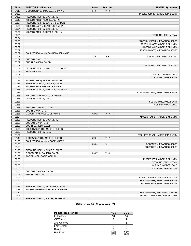| Time           | <b>VISITORS: Villanova</b>           | <b>Score</b> | <b>Margin</b>   | <b>HOME: Syracuse</b>                                     |
|----------------|--------------------------------------|--------------|-----------------|-----------------------------------------------------------|
| 04:16          | GOOD! DUNK by SAMUELS, JERMAINE      | $51 - 61$    | $V$ 10          |                                                           |
| 04:06          |                                      |              |                 | MISSED JUMPER by BOEHEIM, BUDDY                           |
| 04:02          | REBOUND (DEF) by DIXON, ERIC         |              |                 |                                                           |
| 03:42          | MISSED 3PTR by MOORE, JUSTIN         |              |                 |                                                           |
| 03:37          | REBOUND (OFF) by SLATER, BRANDON     |              |                 |                                                           |
| 03:37          | MISSED LAYUP by SLATER, BRANDON      |              |                 |                                                           |
| 03:34          | REBOUND (OFF) by DIXON, ERIC         |              |                 |                                                           |
| 03:34          | MISSED 3PTR by GILLESPIE, COLLIN     |              |                 |                                                           |
| 03:34          |                                      |              |                 | REBOUND (DEF) by TEAM                                     |
| 03:34          |                                      |              |                 |                                                           |
| 03:05          |                                      |              |                 | MISSED JUMPER by EDWARDS, JESSE                           |
| 03:02          |                                      |              |                 | REBOUND (OFF) by BOEHEIM, JIMMY                           |
| 03:02          |                                      |              |                 | MISSED LAYUP by BOEHEIM, JIMMY                            |
| 03:02          |                                      |              |                 | REBOUND (OFF) by EDWARDS, JESSE                           |
| 03:02          | FOUL (PERSONAL) by SAMUELS, JERMAINE |              |                 |                                                           |
| 03:02          |                                      | $52 - 61$    | V <sub>9</sub>  | GOOD! FT by EDWARDS, JESSE                                |
| 03:02          | SUB OUT: DIXON, ERIC                 |              |                 |                                                           |
| 03:02          | SUB IN: DANIELS, CALEB               |              |                 |                                                           |
| 03:02          |                                      |              |                 | MISSED FT by EDWARDS, JESSE                               |
| 03:01          | REBOUND (DEF) by SAMUELS, JERMAINE   |              |                 |                                                           |
| 02:59          | TIMEOUT 30SEC                        |              |                 |                                                           |
| 02:59          |                                      |              |                 | SUB OUT: SWIDER, COLE                                     |
| 02:59          |                                      |              |                 | SUB IN: WILLIAMS, BENNY                                   |
| 02:39          | MISSED 3PTR by SLATER, BRANDON       |              |                 |                                                           |
| 02:36          | REBOUND (OFF) by DANIELS, CALEB      |              |                 |                                                           |
| 02:36          | MISSED LAYUP by DANIELS, CALEB       |              |                 |                                                           |
| 02:36          | REBOUND (OFF) by SAMUELS, JERMAINE   |              |                 |                                                           |
| 02:36          |                                      |              |                 | FOUL (PERSONAL) by WILLIAMS, BENNY                        |
| 02:36          | MISSED FT by SAMUELS, JERMAINE       |              |                 |                                                           |
| 02:36          | REBOUND (OFF) by TEAM                |              |                 |                                                           |
| 02:36          |                                      |              |                 | SUB OUT: WILLIAMS, BENNY                                  |
| 02:36          |                                      |              |                 | SUB IN: SWIDER, COLE                                      |
| 02:36          | SUB OUT: DANIELS, CALEB              |              |                 |                                                           |
| 02:36          | SUB IN: DIXON, ERIC                  |              |                 |                                                           |
| 02:36          | GOOD! FT by SAMUELS, JERMAINE        | 52-62        | $V$ 10          |                                                           |
| 02:27          |                                      |              |                 | MISSED JUMPER by BOEHEIM, JIMMY                           |
| 02:25          | REBOUND (DEF) by DIXON, ERIC         |              |                 |                                                           |
| 02:25          | SUB OUT: DIXON, ERIC                 |              |                 |                                                           |
| 02:25          | SUB IN: DANIELS, CALEB               |              |                 |                                                           |
| 02:05          | MISSED JUMPER by MOORE, JUSTIN       |              |                 |                                                           |
| 02:03          | REBOUND (OFF) by TEAM                |              |                 |                                                           |
| 01:57          |                                      |              |                 | FOUL (PERSONAL) by BOEHEIM, BUDDY                         |
| 01:40          | GOOD! JUMPER by MOORE, JUSTIN        | 52-64        | V <sub>12</sub> |                                                           |
| 01:29          | FOUL (PERSONAL) by MOORE, JUSTIN     |              |                 |                                                           |
| 01:29          |                                      | 53-64        | V <sub>11</sub> |                                                           |
| 01:29          |                                      |              |                 | GOOD! FT by EDWARDS, JESSE<br>MISSED FT by EDWARDS, JESSE |
| 01:29          | REBOUND (DEF) by DANIELS, CALEB      |              |                 |                                                           |
| 01:08          | GOOD! 3PTR by DANIELS, CALEB         | 53-67        | V <sub>14</sub> |                                                           |
| 01:08          | ASSIST by GILLESPIE, COLLIN          |              |                 |                                                           |
| 00:59          |                                      |              |                 | MISSED 3PTR by BOEHEIM, JIMMY                             |
| 00:58          |                                      |              |                 | REBOUND (OFF) by TEAM                                     |
| 00:58          |                                      |              |                 | SUB OUT: SWIDER, COLE                                     |
|                |                                      |              |                 |                                                           |
| 00:58          |                                      |              |                 | SUB IN: WILLIAMS, BENNY                                   |
| 00:58<br>00:58 | SUB OUT: DANIELS, CALEB              |              |                 |                                                           |
|                | SUB IN: DIXON, ERIC                  |              |                 |                                                           |
| 00:53          |                                      |              |                 | MISSED JUMPER by BOEHEIM, BUDDY                           |
| 00:50          |                                      |              |                 | REBOUND (OFF) by WILLIAMS, BENNY                          |
| 00:50          |                                      |              |                 | MISSED LAYUP by WILLIAMS, BENNY                           |
| 00:46          | REBOUND (DEF) by GILLESPIE, COLLIN   |              |                 |                                                           |
| 00:18          | MISSED JUMPER by SAMUELS, JERMAINE   |              |                 |                                                           |
| 00:15          |                                      |              |                 | REBOUND (DEF) by EDWARDS, JESSE                           |
| 00:05          |                                      |              |                 | MISSED JUMPER by BOEHEIM, JIMMY                           |
| 00:02          | REBOUND (DEF) by SLATER, BRANDON     |              |                 |                                                           |

# **Villanova 67, Syracuse 53**

| <b>Points (This Period)</b> | <b>NOV</b>    | <b>CUS</b>     |
|-----------------------------|---------------|----------------|
| In the Paint                | 10            | 14             |
| Off Turns                   |               |                |
| 2nd Chance                  | 17            |                |
| <b>Fast Break</b>           |               |                |
| Bench                       |               |                |
| Per Poss                    | 1414<br>17/29 | 0.828<br>12/29 |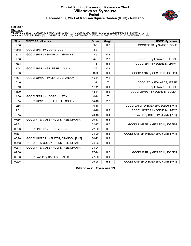#### **Official Scoring/Possession Reference Chart Villanova vs Syracuse Period 1 December 07, 2021 at Madison Square Garden (MSG) - New York**



#### **Period 1**

<mark>Starters:</mark><br>Villanova: 2 GILLESPIE,COLLIN (G); 3 SLATER,BRANDON (F); 5 MOORE ,JUSTIN (G); 23 SAMUELS,JERMAINE (F); 43 DIXON,ERIC (F);<br>**Syracuse**: 0 BOEHEIM,JIMMY (F); 11 GIRARD III,JOSEPH (G); 14 EDWARDS,JESSE (C); 21 SWI

| <b>Time</b> | <b>VISITORS: Villanova</b>            | <b>Score</b> | <b>Margin</b>  | <b>HOME: Syracuse</b>                |
|-------------|---------------------------------------|--------------|----------------|--------------------------------------|
| 19:08       |                                       | $3-0$        | $H_3$          | GOOD! 3PTR by SWIDER, COLE           |
| 18:48       | GOOD! 3PTR by MOORE, JUSTIN           | $3-3$        | T.             |                                      |
| 18:13       | GOOD! 3PTR by SAMUELS, JERMAINE       | $3-6$        | V <sub>3</sub> |                                      |
| 17:58       |                                       | $4-6$        | V <sub>2</sub> | GOOD! FT by EDWARDS, JESSE           |
| 17:33       |                                       | $7-6$        | H <sub>1</sub> | GOOD! 3PTR by BOEHEIM, JIMMY         |
| 17:04       | GOOD! 3PTR by GILLESPIE, COLLIN       | $7-9$        | V <sub>2</sub> |                                      |
| 16:53       |                                       | $10-9$       | H <sub>1</sub> | GOOD! 3PTR by GIRARD III, JOSEPH     |
| 16:27       | GOOD! JUMPER by SLATER, BRANDON       | $10 - 11$    | V <sub>1</sub> |                                      |
| 16:10       |                                       | $11 - 11$    | T.             | GOOD! FT by EDWARDS, JESSE           |
| 16:10       |                                       | $12 - 11$    | H <sub>1</sub> | GOOD! FT by EDWARDS, JESSE           |
| 15:09       |                                       | $14 - 11$    | $H_3$          | GOOD! JUMPER by BOEHEIM, BUDDY       |
| 14:36       | GOOD! 3PTR by MOORE, JUSTIN           | $14 - 14$    | T.             |                                      |
| 13:14       | GOOD! JUMPER by GILLESPIE, COLLIN     | $14 - 16$    | V <sub>2</sub> |                                      |
| 12:55       |                                       | 16-16        | T.             | GOOD! LAYUP by BOEHEIM, BUDDY [PNT]  |
| 11:31       |                                       | $18 - 16$    | H <sub>2</sub> | GOOD! JUMPER by BOEHEIM, JIMMY       |
| 10:15       |                                       | $20 - 16$    | H <sub>4</sub> | GOOD! LAYUP by BOEHEIM, JIMMY [PNT]  |
| 07:56       | GOOD! FT by COSBY-ROUNDTREE, DHAMIR   | $20 - 17$    | $H_3$          |                                      |
| 07:31       |                                       | $22 - 17$    | H <sub>5</sub> | GOOD! JUMPER by GIRARD III, JOSEPH   |
| 05:06       | GOOD! 3PTR by MOORE, JUSTIN           | 22-20        | H <sub>2</sub> |                                      |
| 04:37       |                                       | 24-20        | H <sub>4</sub> | GOOD! JUMPER by BOEHEIM, JIMMY [PNT] |
| 03:28       | GOOD! JUMPER by SLATER, BRANDON [PNT] | 24-22        | H <sub>2</sub> |                                      |
| 02:13       | GOOD! FT by COSBY-ROUNDTREE, DHAMIR   | $24 - 23$    | H <sub>1</sub> |                                      |
| 02:13       | GOOD! FT by COSBY-ROUNDTREE, DHAMIR   | 24-24        | T              |                                      |
| 01:38       |                                       | $27 - 24$    | $H_3$          | GOOD! 3PTR by GIRARD III, JOSEPH     |
| 00:36       | GOOD! LAYUP by DANIELS, CALEB         | $27 - 26$    | H <sub>1</sub> |                                      |
| 00:05       |                                       | 29-26        | $H_3$          | GOOD! JUMPER by BOEHEIM, JIMMY [PNT] |

**Villanova 26, Syracuse 29**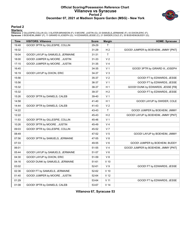#### **Official Scoring/Possession Reference Chart Villanova vs Syracuse Period 2 December 07, 2021 at Madison Square Garden (MSG) - New York**



#### **Period 2**

<mark>Starters:</mark><br>Villanova: 2 GILLESPIE,COLLIN (G); 3 SLATER,BRANDON (F); 5 MOORE ,JUSTIN (G); 23 SAMUELS,JERMAINE (F); 43 DIXON,ERIC (F);<br>**Syracuse**: 0 BOEHEIM,JIMMY (F); 11 GIRARD III,JOSEPH (G); 14 EDWARDS,JESSE (C); 21 SWI

| <b>Time</b> | <b>VISITORS: Villanova</b>       | <b>Score</b> | <b>Margin</b>   | <b>HOME: Syracuse</b>                |
|-------------|----------------------------------|--------------|-----------------|--------------------------------------|
| 19:48       | GOOD! 3PTR by GILLESPIE, COLLIN  | 29-29        | Τ               |                                      |
| 19:32       |                                  | 31-29        | H <sub>2</sub>  | GOOD! JUMPER by BOEHEIM, JIMMY [PNT] |
| 19:04       | GOOD! LAYUP by SAMUELS, JERMAINE | 31-31        | T               |                                      |
| 18:00       | GOOD! JUMPER by MOORE, JUSTIN    | 31-33        | V <sub>2</sub>  |                                      |
| 17:15       | GOOD! JUMPER by MOORE, JUSTIN    | 31-35        | V <sub>4</sub>  |                                      |
| 16:45       |                                  | 34-35        | V <sub>1</sub>  | GOOD! 3PTR by GIRARD III, JOSEPH     |
| 16:19       | GOOD! LAYUP by DIXON, ERIC       | 34-37        | $V_3$           |                                      |
| 15:56       |                                  | 35-37        | V <sub>2</sub>  | GOOD! FT by EDWARDS, JESSE           |
| 15:56       |                                  | 36-37        | V <sub>1</sub>  | GOOD! FT by EDWARDS, JESSE           |
| 15:32       |                                  | 38-37        | H <sub>1</sub>  | GOOD! DUNK by EDWARDS, JESSE [FB]    |
| 15:32       |                                  | 39-37        | H <sub>2</sub>  | GOOD! FT by EDWARDS, JESSE           |
| 15:26       | GOOD! 3PTR by DANIELS, CALEB     | 39-40        | V <sub>1</sub>  |                                      |
| 14:58       |                                  | 41-40        | H <sub>1</sub>  | GOOD! LAYUP by SWIDER, COLE          |
| 14:44       | GOOD! 3PTR by DANIELS, CALEB     | 41-43        | V <sub>2</sub>  |                                      |
| 14:22       |                                  | 43-43        | $\mathsf{T}$    | GOOD! JUMPER by BOEHEIM, JIMMY       |
| 12:22       |                                  | 45-43        | H <sub>2</sub>  | GOOD! LAYUP by BOEHEIM, JIMMY [PNT]  |
| 11:53       | GOOD! 3PTR by GILLESPIE, COLLIN  | 45-46        | V <sub>1</sub>  |                                      |
| 10:26       | GOOD! 3PTR by MOORE, JUSTIN      | 45-49        | V <sub>4</sub>  |                                      |
| 09:03       | GOOD! 3PTR by GILLESPIE, COLLIN  | 45-52        | V <sub>7</sub>  |                                      |
| 08:49       |                                  | 47-52        | V <sub>5</sub>  | GOOD! LAYUP by BOEHEIM, JIMMY        |
| 07:56       | GOOD! 3PTR by SAMUELS, JERMAINE  | 47-55        | V8              |                                      |
| 07:33       |                                  | 49-55        | $V_6$           | GOOD! JUMPER by BOEHEIM, BUDDY       |
| 06:01       |                                  | 51-55        | V <sub>4</sub>  | GOOD! JUMPER by BOEHEIM, JIMMY [PNT] |
| 05:44       | GOOD! LAYUP by SAMUELS, JERMAINE | 51-57        | $V_6$           |                                      |
| 04:30       | GOOD! LAYUP by DIXON, ERIC       | 51-59        | V8              |                                      |
| 04:16       | GOOD! DUNK by SAMUELS, JERMAINE  | 51-61        | $V$ 10          |                                      |
| 03:02       |                                  | 52-61        | V <sub>9</sub>  | GOOD! FT by EDWARDS, JESSE           |
| 02:36       | GOOD! FT by SAMUELS, JERMAINE    | 52-62        | $V$ 10          |                                      |
| 01:40       | GOOD! JUMPER by MOORE, JUSTIN    | 52-64        | V <sub>12</sub> |                                      |
| 01:29       |                                  | 53-64        | $V$ 11          | GOOD! FT by EDWARDS, JESSE           |
| 01:08       | GOOD! 3PTR by DANIELS, CALEB     | 53-67        | V <sub>14</sub> |                                      |

**Villanova 67, Syracuse 53**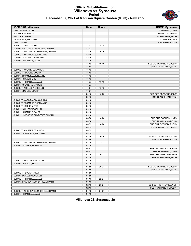# **Official Substitutions Log Villanova vs Syracuse Period 1**



## **December 07, 2021 at Madison Square Garden (MSG) - New York**

| <b>VISITORS: Villanova</b>          | Time  | <b>Score</b> | <b>HOME: Syracuse</b>        |  |
|-------------------------------------|-------|--------------|------------------------------|--|
| 2 GILLESPIE, COLLIN                 |       |              | 0 BOEHEIM, JIMMY             |  |
| 3 SLATER, BRANDON                   |       |              | 11 GIRARD III, JOSEPH        |  |
| 5 MOORE .JUSTIN                     |       |              | 14 EDWARDS, JESSE            |  |
| 23 SAMUELS, JERMAINE                |       |              | 21 SWIDER, COLE              |  |
| 43 DIXON, ERIC                      |       |              | 35 BOEHEIM, BUDDY            |  |
| SUB OUT: 43 DIXON, ERIC             | 14:03 | 14-14        |                              |  |
| SUB IN: 21 COSBY-ROUNDTREE, DHAMIR  | 14:03 |              |                              |  |
| SUB OUT: 21 COSBY-ROUNDTREE, DHAMIR | 12:16 | 16-16        |                              |  |
| SUB OUT: 23 SAMUELS, JERMAINE       | 12:16 |              |                              |  |
| SUB IN: 4 ARCIDIACONO, CHRIS        | 12:16 |              |                              |  |
| SUB IN: 14 DANIELS, CALEB           | 12:16 |              |                              |  |
|                                     | 11:49 | $16-16$      | SUB OUT: GIRARD III, JOSEPH  |  |
|                                     | 11:49 |              | SUB IN: TORRENCE, SYMIR      |  |
| SUB OUT: 3 SLATER, BRANDON          | 11:49 |              |                              |  |
| SUB OUT: 5 MOORE, JUSTIN            | 11:49 |              |                              |  |
| SUB IN: 23 SAMUELS, JERMAINE        | 11:49 |              |                              |  |
| SUB IN: 43 DIXON, ERIC              | 11:49 |              |                              |  |
| SUB OUT: 14 DANIELS, CALEB          | 11:07 | 16-18        |                              |  |
| SUB IN: 3 SLATER, BRANDON           | 11:07 |              |                              |  |
| SUB OUT: 2 GILLESPIE, COLLIN        | 10:21 | 16-18        |                              |  |
| SUB IN: 5 MOORE ,JUSTIN             | 10:21 |              |                              |  |
|                                     | 09:16 | 16-20        | SUB OUT: EDWARDS, JESSE      |  |
|                                     | 09:16 |              | <b>SUB IN: ANSELEM.FRANK</b> |  |
| SUB OUT: 4 ARCIDIACONO, CHRIS       | 09:16 |              |                              |  |
| SUB OUT: 23 SAMUELS, JERMAINE       | 09:16 |              |                              |  |
| SUB OUT: 43 DIXON, ERIC             | 09:16 |              |                              |  |
| SUB IN: 2 GILLESPIE, COLLIN         | 09:16 |              |                              |  |
| SUB IN: 14 DANIELS, CALEB           | 09:16 |              |                              |  |
| SUB IN: 21 COSBY-ROUNDTREE, DHAMIR  | 09:16 |              |                              |  |
|                                     | 08:58 | 16-20        | SUB OUT: BOEHEIM, JIMMY      |  |
|                                     | 08:58 |              | SUB IN: WILLIAMS, BENNY      |  |
|                                     | 08:39 | 16-20        | SUB OUT: BOEHEIM, BUDDY      |  |
|                                     | 08:39 |              | SUB IN: GIRARD III, JOSEPH   |  |
| SUB OUT: 3 SLATER, BRANDON          | 08:39 |              |                              |  |
| SUB IN: 23 SAMUELS, JERMAINE        | 08:39 |              |                              |  |
|                                     | 07:56 | 16-20        | SUB OUT: TORRENCE, SYMIR     |  |
|                                     | 07:56 |              | SUB IN: BOEHEIM, BUDDY       |  |
| SUB OUT: 21 COSBY-ROUNDTREE, DHAMIR | 07:10 | 17-22        |                              |  |
| SUB IN: 3 SLATER, BRANDON           | 07:10 |              |                              |  |
|                                     | 06:53 | 17-22        | SUB OUT: WILLIAMS, BENNY     |  |
|                                     | 06:53 |              | SUB IN: BOEHEIM, JIMMY       |  |
|                                     | 04:39 | 20-22        | SUB OUT: ANSELEM, FRANK      |  |
|                                     | 04:39 |              | SUB IN: EDWARDS.JESSE        |  |
| SUB OUT: 2 GILLESPIE, COLLIN        | 04:39 |              |                              |  |
| SUB IN: 12 VOIGT, KEVIN             | 04:39 |              |                              |  |
|                                     | 03:50 | 20-24        | SUB OUT: GIRARD III, JOSEPH  |  |
|                                     | 03:50 |              | SUB IN: TORRENCE, SYMIR      |  |
| SUB OUT: 12 VOIGT, KEVIN            | 03:50 |              |                              |  |
| SUB IN: 2 GILLESPIE, COLLIN         | 03:50 |              |                              |  |
| SUB OUT: 14 DANIELS, CALEB          | 03:15 | $22 - 24$    |                              |  |
| SUB IN: 21 COSBY-ROUNDTREE, DHAMIR  | 03:15 |              |                              |  |
|                                     | 02:13 | 23-24        | SUB OUT: TORRENCE, SYMIR     |  |
|                                     | 02:13 |              | SUB IN: GIRARD III, JOSEPH   |  |
| SUB OUT: 21 COSBY-ROUNDTREE, DHAMIR | 01:18 | 24-27        |                              |  |
| SUB IN: 14 DANIELS, CALEB           | 01:18 |              |                              |  |

#### **Villanova 26, Syracuse 29**